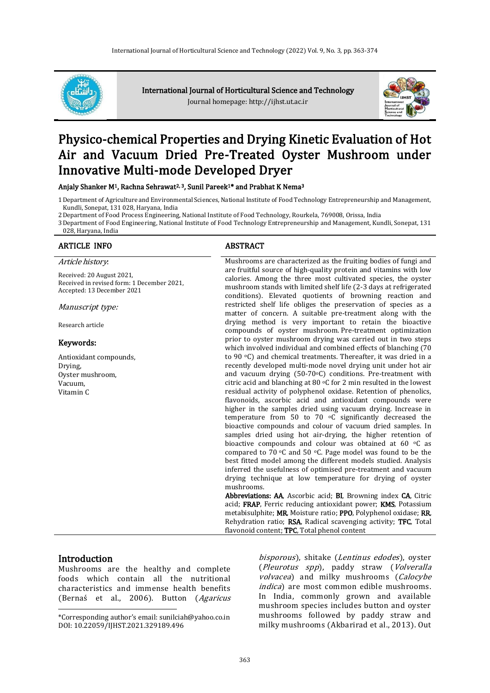

International Journal of Horticultural Science and Technology Journal homepage: http://ijhst.ut.ac.ir



# Physico-chemical Properties and Drying Kinetic Evaluation of Hot Air and Vacuum Dried Pre-Treated Oyster Mushroom under Innovative Multi-mode Developed Dryer

Anjaly Shanker M<sup>1</sup>, Rachna Sehrawat<sup>2, 3</sup>, Sunil Pareek<sup>1\*</sup> and Prabhat K Nema<sup>3</sup>

1Department of Agriculture and Environmental Sciences, National Institute of Food Technology Entrepreneurship and Management, Kundli, Sonepat, 131 028, Haryana, India

2Department of Food Process Engineering, National Institute of Food Technology, Rourkela, 769008, Orissa, India

3Department of Food Engineering, National Institute of Food Technology Entrepreneurship and Management, Kundli, Sonepat, 131

# 028, Haryana, India

# ARTICLE INFO ARTICLE ARE ABSTRACT

#### Article history:

Received: 20 August 2021, Received in revised form: 1 December 2021, Accepted: 13 December 2021

#### Manuscript type:

Research article

#### Keywords:

Antioxidant compounds, Drying, Oyster mushroom, Vacuum, Vitamin C

Mushrooms are characterized as the fruiting bodies of fungi and are fruitful source of high-quality protein and vitamins with low calories. Among the three most cultivated species, the oyster mushroom stands with limited shelf life (2-3 days at refrigerated conditions). Elevated quotients of browning reaction and restricted shelf life obliges the preservation of species as a matter of concern. A suitable pre-treatment along with the drying method is very important to retain the bioactive compounds of oyster mushroom. Pre-treatment optimization prior to oyster mushroom drying was carried out in two steps which involved individual and combined effects of blanching (70 to 90 °C) and chemical treatments. Thereafter, it was dried in a recently developed multi-mode novel drying unit under hot air and vacuum drying (50-70°C) conditions. Pre-treatment with citric acid and blanching at 80 °C for 2 min resulted in the lowest residual activity of polyphenol oxidase. Retention of phenolics, flavonoids, ascorbic acid and antioxidant compounds were higher in the samples dried using vacuum drying. Increase in temperature from 50 to 70 oC significantly decreased the bioactive compounds and colour of vacuum dried samples. In samples dried using hot air-drying, the higher retention of bioactive compounds and colour was obtained at  $60^{\circ}$ C as compared to 70  $\circ$ C and 50  $\circ$ C. Page model was found to be the best fitted model among the different models studied. Analysis inferred the usefulness of optimised pre-treatment and vacuum drying technique at low temperature for drying of oyster mushrooms.

Abbreviations: AA, Ascorbic acid; BI, Browning index CA, Citric acid; FRAP, Ferric reducing antioxidant power; KMS, Potassium metabisulphite; MR, Moisture ratio; PPO, Polyphenol oxidase; RR, Rehydration ratio; RSA, Radical scavenging activity; TFC, Total flavonoid content; TPC, Total phenol content

#### **Introduction**

 $\overline{a}$ 

Mushrooms are the healthy and complete foods which contain all the nutritional characteristics and immense health benefits (Bernaś et al., 2006). Button (Agaricus

bisporous), shitake (Lentinus edodes), oyster (Pleurotus spp), paddy straw (Volveralla volvacea) and milky mushrooms (Calocybe indica) are most common edible mushrooms. In India, commonly grown and available mushroom species includes button and oyster mushrooms followed by paddy straw and milky mushrooms (Akbarirad et al., 2013). Out

<sup>\*</sup>Corresponding author's email: sunilciah@yahoo.co.in DOI: 10.22059/IJHST.2021.329189.496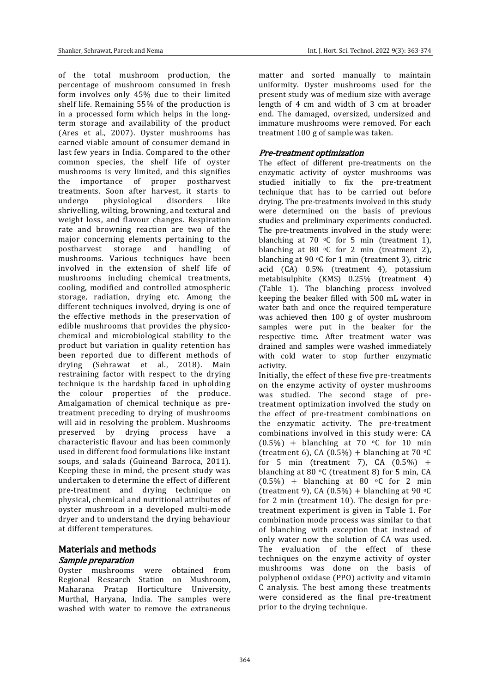of the total mushroom production, the percentage of mushroom consumed in fresh form involves only 45% due to their limited shelf life. Remaining 55% of the production is in a processed form which helps in the longterm storage and availability of the product (Ares et al., 2007). Oyster mushrooms has earned viable amount of consumer demand in last few years in India. Compared to the other common species, the shelf life of oyster mushrooms is very limited, and this signifies the importance of proper postharvest treatments. Soon after harvest, it starts to undergo physiological disorders like shrivelling, wilting, browning, and textural and weight loss, and flavour changes. Respiration rate and browning reaction are two of the major concerning elements pertaining to the postharvest storage and handling of mushrooms. Various techniques have been involved in the extension of shelf life of mushrooms including chemical treatments, cooling, modified and controlled atmospheric storage, radiation, drying etc. Among the different techniques involved, drying is one of the effective methods in the preservation of edible mushrooms that provides the physicochemical and microbiological stability to the product but variation in quality retention has been reported due to different methods of drying (Sehrawat et al., 2018). Main restraining factor with respect to the drying technique is the hardship faced in upholding the colour properties of the produce. Amalgamation of chemical technique as pretreatment preceding to drying of mushrooms will aid in resolving the problem. Mushrooms preserved by drying process have a characteristic flavour and has been commonly used in different food formulations like instant soups, and salads (Guineand Barroca, 2011). Keeping these in mind, the present study was undertaken to determine the effect of different pre-treatment and drying technique on physical, chemical and nutritional attributes of oyster mushroom in a developed multi-mode dryer and to understand the drying behaviour at different temperatures.

# Materials and methods Sample preparation

Oyster mushrooms were obtained from Regional Research Station on Mushroom, Maharana Pratap Horticulture University, Murthal, Haryana, India. The samples were washed with water to remove the extraneous matter and sorted manually to maintain uniformity. Oyster mushrooms used for the present study was of medium size with average length of 4 cm and width of 3 cm at broader end. The damaged, oversized, undersized and immature mushrooms were removed. For each treatment 100 g of sample was taken.

# Pre-treatment optimization

The effect of different pre-treatments on the enzymatic activity of oyster mushrooms was studied initially to fix the pre-treatment technique that has to be carried out before drying. The pre-treatments involved in this study were determined on the basis of previous studies and preliminary experiments conducted. The pre-treatments involved in the study were: blanching at 70  $\degree$ C for 5 min (treatment 1), blanching at 80  $\circ$ C for 2 min (treatment 2), blanching at 90  $\degree$ C for 1 min (treatment 3), citric acid (CA) 0.5% (treatment 4), potassium metabisulphite (KMS) 0.25% (treatment 4) (Table 1). The blanching process involved keeping the beaker filled with 500 mL water in water bath and once the required temperature was achieved then 100 g of oyster mushroom samples were put in the beaker for the respective time. After treatment water was drained and samples were washed immediately with cold water to stop further enzymatic activity.

Initially, the effect of these five pre-treatments on the enzyme activity of oyster mushrooms was studied. The second stage of pretreatment optimization involved the study on the effect of pre-treatment combinations on the enzymatic activity. The pre-treatment combinations involved in this study were: CA  $(0.5\%)$  + blanching at 70 °C for 10 min (treatment 6), CA  $(0.5\%)$  + blanching at 70 °C for 5 min (treatment 7),  $CA(0.5\%) +$ blanching at 80  $\degree$ C (treatment 8) for 5 min, CA  $(0.5\%)$  + blanching at 80 °C for 2 min (treatment 9), CA (0.5%) + blanching at 90  $\circ$ C for 2 min (treatment 10). The design for pretreatment experiment is given in Table 1. For combination mode process was similar to that of blanching with exception that instead of only water now the solution of CA was used. The evaluation of the effect of these techniques on the enzyme activity of oyster mushrooms was done on the basis of polyphenol oxidase (PPO) activity and vitamin C analysis. The best among these treatments were considered as the final pre-treatment prior to the drying technique.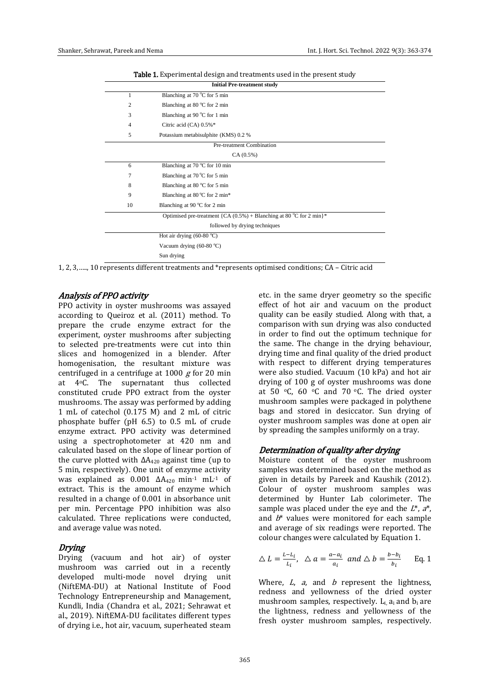|                | <b>Initial Pre-treatment study</b>                                     |  |  |  |  |  |  |  |
|----------------|------------------------------------------------------------------------|--|--|--|--|--|--|--|
| 1              | Blanching at 70 °C for 5 min                                           |  |  |  |  |  |  |  |
| $\overline{c}$ | Blanching at 80 °C for 2 min                                           |  |  |  |  |  |  |  |
| 3              | Blanching at 90 $\degree$ C for 1 min                                  |  |  |  |  |  |  |  |
| 4              | Citric acid (CA) 0.5%*                                                 |  |  |  |  |  |  |  |
| 5              | Potassium metabisulphite (KMS) 0.2 %                                   |  |  |  |  |  |  |  |
|                | Pre-treatment Combination                                              |  |  |  |  |  |  |  |
|                | CA(0.5%)                                                               |  |  |  |  |  |  |  |
| 6              | Blanching at 70 °C for 10 min                                          |  |  |  |  |  |  |  |
| 7              | Blanching at 70 °C for 5 min                                           |  |  |  |  |  |  |  |
| 8              | Blanching at 80 °C for 5 min                                           |  |  |  |  |  |  |  |
| 9              | Blanching at 80 °C for 2 min*                                          |  |  |  |  |  |  |  |
| 10             | Blanching at 90 $\degree$ C for 2 min                                  |  |  |  |  |  |  |  |
|                | Optimised pre-treatment {CA $(0.5\%)$ + Blanching at 80 °C for 2 min}* |  |  |  |  |  |  |  |
|                | followed by drying techniques                                          |  |  |  |  |  |  |  |
|                | Hot air drying $(60-80 °C)$                                            |  |  |  |  |  |  |  |
|                | Vacuum drying $(60-80 °C)$                                             |  |  |  |  |  |  |  |
|                | Sun drying                                                             |  |  |  |  |  |  |  |

Table 1. Experimental design and treatments used in the present study

1, 2, 3,….., 10 represents different treatments and \*represents optimised conditions; CA – Citric acid

#### Analysis of PPO activity

PPO activity in oyster mushrooms was assayed according to Queiroz et al. (2011) method. To prepare the crude enzyme extract for the experiment, oyster mushrooms after subjecting to selected pre-treatments were cut into thin slices and homogenized in a blender. After homogenisation, the resultant mixture was centrifuged in a centrifuge at 1000  $g$  for 20 min at 4oC. The supernatant thus collected constituted crude PPO extract from the oyster mushrooms. The assay was performed by adding 1 mL of catechol (0.175 M) and 2 mL of citric phosphate buffer (pH 6.5) to 0.5 mL of crude enzyme extract. PPO activity was determined using a spectrophotometer at 420 nm and calculated based on the slope of linear portion of the curve plotted with  $ΔA<sub>420</sub>$  against time (up to 5 min, respectively). One unit of enzyme activity was explained as  $0.001$   $\Delta A_{420}$  min<sup>-1</sup> mL<sup>-1</sup> of extract. This is the amount of enzyme which resulted in a change of 0.001 in absorbance unit per min. Percentage PPO inhibition was also calculated. Three replications were conducted, and average value was noted.

#### Drying

Drying (vacuum and hot air) of oyster mushroom was carried out in a recently developed multi-mode novel drying unit (NiftEMA-DU) at National Institute of Food Technology Entrepreneurship and Management, Kundli, India (Chandra et al., 2021; Sehrawat et al., 2019). NiftEMA-DU facilitates different types of drying i.e., hot air, vacuum, superheated steam etc. in the same dryer geometry so the specific effect of hot air and vacuum on the product quality can be easily studied. Along with that, a comparison with sun drying was also conducted in order to find out the optimum technique for the same. The change in the drying behaviour, drying time and final quality of the dried product with respect to different drying temperatures were also studied. Vacuum (10 kPa) and hot air drying of 100 g of oyster mushrooms was done at 50  $\,^{\circ}$ C, 60  $^{\circ}$ C and 70  $^{\circ}$ C. The dried oyster mushroom samples were packaged in polythene bags and stored in desiccator. Sun drying of oyster mushroom samples was done at open air by spreading the samples uniformly on a tray.

#### Determination of quality after drying

Moisture content of the oyster mushroom samples was determined based on the method as given in details by Pareek and Kaushik (2012). Colour of oyster mushroom samples was determined by Hunter Lab colorimeter. The sample was placed under the eve and the  $L^*, a^*,$ and  $b^*$  values were monitored for each sample and average of six readings were reported. The colour changes were calculated by Equation 1.

$$
\triangle L = \frac{L - L_i}{L_i}, \quad \triangle a = \frac{a - a_i}{a_i} \text{ and } \triangle b = \frac{b - b_i}{b_i} \qquad \text{Eq. 1}
$$

Where,  $L$ ,  $a$ , and  $b$  represent the lightness, redness and yellowness of the dried oyster mushroom samples, respectively.  $L_i$  a<sub>i</sub> and  $b_i$  are the lightness, redness and yellowness of the fresh oyster mushroom samples, respectively.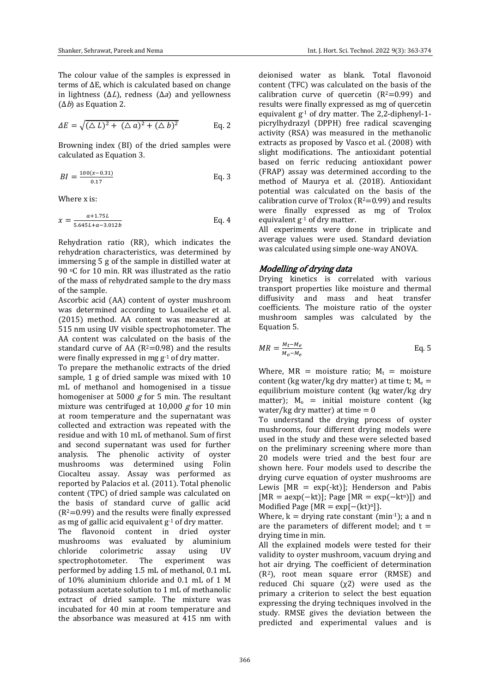$$
\Delta E = \sqrt{(\Delta L)^2 + (\Delta a)^2 + (\Delta b)^2}
$$
 Eq. 2

Browning index (BI) of the dried samples were calculated as Equation 3.

$$
BI = \frac{100(x - 0.31)}{0.17}
$$
 Eq. 3

Where x is:

$$
x = \frac{a + 1.75L}{5.645L + a - 3.012b}
$$
 Eq. 4

Rehydration ratio (RR), which indicates the rehydration characteristics, was determined by immersing 5 g of the sample in distilled water at 90 °C for 10 min. RR was illustrated as the ratio of the mass of rehydrated sample to the dry mass of the sample.

Ascorbic acid (AA) content of oyster mushroom was determined according to Louaileche et al. (2015) method. AA content was measured at 515 nm using UV visible spectrophotometer. The AA content was calculated on the basis of the standard curve of AA  $(R^2=0.98)$  and the results were finally expressed in mg g-1 of dry matter.

To prepare the methanolic extracts of the dried sample, 1 g of dried sample was mixed with 10 mL of methanol and homogenised in a tissue homogeniser at 5000  $g$  for 5 min. The resultant mixture was centrifuged at 10,000  $g$  for 10 min at room temperature and the supernatant was collected and extraction was repeated with the residue and with 10 mL of methanol. Sum of first and second supernatant was used for further analysis. The phenolic activity of oyster mushrooms was determined using Folin Ciocalteu assay. Assay was performed as reported by Palacios et al. (2011). Total phenolic content (TPC) of dried sample was calculated on the basis of standard curve of gallic acid  $(R^2=0.99)$  and the results were finally expressed as mg of gallic acid equivalent  $g^{-1}$  of dry matter.

The flavonoid content in dried oyster mushrooms was evaluated by aluminium chloride colorimetric assay using UV spectrophotometer. The experiment was performed by adding 1.5 mL of methanol, 0.1 mL of 10% aluminium chloride and 0.1 mL of 1 M potassium acetate solution to 1 mL of methanolic extract of dried sample. The mixture was incubated for 40 min at room temperature and the absorbance was measured at 415 nm with deionised water as blank. Total flavonoid content (TFC) was calculated on the basis of the calibration curve of quercetin  $(R^2=0.99)$  and results were finally expressed as mg of quercetin equivalent g -1 of dry matter. The 2,2-diphenyl-1 picrylhydrazyl (DPPH) free radical scavenging activity (RSA) was measured in the methanolic extracts as proposed by Vasco et al. (2008) with slight modifications. The antioxidant potential based on ferric reducing antioxidant power (FRAP) assay was determined according to the method of Maurya et al. (2018). Antioxidant potential was calculated on the basis of the calibration curve of Trolox ( $R^2=0.99$ ) and results were finally expressed as mg of Trolox equivalent g<sup>-1</sup> of dry matter.

All experiments were done in triplicate and average values were used. Standard deviation was calculated using simple one-way ANOVA.

## Modelling of drying data

Drying kinetics is correlated with various transport properties like moisture and thermal diffusivity and mass and heat transfer coefficients. The moisture ratio of the oyster mushroom samples was calculated by the Equation 5.

$$
MR = \frac{M_t - M_e}{M_o - M_e}
$$
 Eq. 5

Where,  $MR = \text{moisture ratio}$ ;  $M_t = \text{moisture}$ content (kg water/kg dry matter) at time t;  $M_e =$ equilibrium moisture content (kg water/kg dry matter);  $M_0$  = initial moisture content (kg water/kg dry matter) at time  $= 0$ 

To understand the drying process of oyster mushrooms, four different drying models were used in the study and these were selected based on the preliminary screening where more than 20 models were tried and the best four are shown here. Four models used to describe the drying curve equation of oyster mushrooms are Lewis  $[MR = exp(-kt)]$ ; Henderson and Pabis  $[MR = aexp(-kt)]$ ; Page  $[MR = exp(-kt^n)]$  and Modified Page { $MR = \exp[-(kt)^n]$ }.

Where,  $k =$  drying rate constant (min<sup>-1</sup>); a and n are the parameters of different model; and  $t =$ drying time in min.

All the explained models were tested for their validity to oyster mushroom, vacuum drying and hot air drying. The coefficient of determination (R2), root mean square error (RMSE) and reduced Chi square  $(\chi^2)$  were used as the primary a criterion to select the best equation expressing the drying techniques involved in the study. RMSE gives the deviation between the predicted and experimental values and is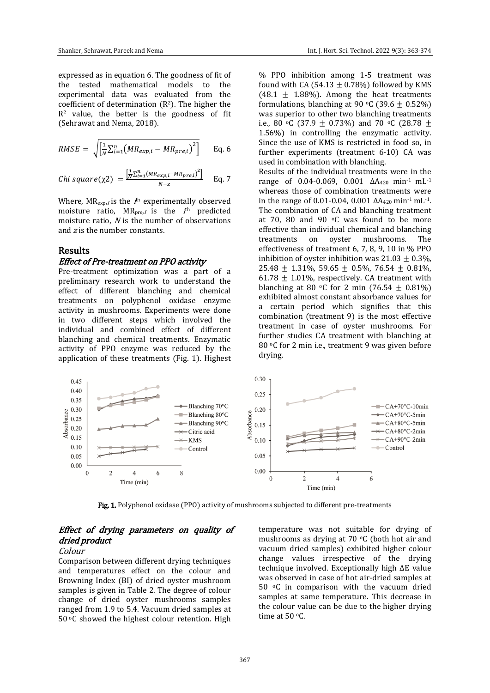expressed as in equation 6. The goodness of fit of the tested mathematical models to the experimental data was evaluated from the coefficient of determination  $(R^2)$ . The higher the  $R<sup>2</sup>$  value, the better is the goodness of fit (Sehrawat and Nema, 2018).

$$
RMSE = \sqrt{\left[\frac{1}{N}\sum_{i=1}^{n} \left(MR_{exp,i} - MR_{pre,i}\right)^{2}\right]}
$$
 Eq. 6

$$
Chi square(\chi 2) = \frac{\left[\frac{1}{N}\sum_{i=1}^{n}(MR_{exp,i}-MR_{pre,i})^{2}\right]}{N-z}
$$
 Eq. 7

Where,  $MR_{exp,I}$  is the  $I<sup>th</sup>$  experimentally observed moisture ratio,  $MR_{pre,I}$  is the  $I<sup>th</sup>$  predicted moisture ratio, N is the number of observations and  $z$  is the number constants.

# Results

#### Effect of Pre-treatment on PPO activity

Pre-treatment optimization was a part of a preliminary research work to understand the effect of different blanching and chemical treatments on polyphenol oxidase enzyme activity in mushrooms. Experiments were done in two different steps which involved the individual and combined effect of different blanching and chemical treatments. Enzymatic activity of PPO enzyme was reduced by the application of these treatments (Fig. 1). Highest % PPO inhibition among 1-5 treatment was found with CA (54.13  $\pm$  0.78%) followed by KMS  $(48.1 \pm 1.88\%)$ . Among the heat treatments formulations, blanching at 90 °C (39.6  $\pm$  0.52%) was superior to other two blanching treatments i.e., 80 °C (37.9  $\pm$  0.73%) and 70 °C (28.78  $\pm$ 1.56%) in controlling the enzymatic activity. Since the use of KMS is restricted in food so, in further experiments (treatment 6-10) CA was used in combination with blanching.

Results of the individual treatments were in the range of 0.04-0.069, 0.001 ΔA<sub>420</sub> min<sup>-1</sup> mL<sup>-1</sup> whereas those of combination treatments were in the range of 0.01-0.04, 0.001  $\Delta A_{420}$  min<sup>-1</sup> mL<sup>-1</sup>. The combination of CA and blanching treatment at 70, 80 and 90 $\degree$ C was found to be more effective than individual chemical and blanching treatments on oyster mushrooms. The effectiveness of treatment 6, 7, 8, 9, 10 in % PPO inhibition of ovster inhibition was  $21.03 + 0.3\%$ .  $25.48 \pm 1.31\%$ , 59.65  $\pm$  0.5%, 76.54  $\pm$  0.81%, 61.78  $\pm$  1.01%, respectively. CA treatment with blanching at 80  $\circ$ C for 2 min (76.54  $\pm$  0.81%) exhibited almost constant absorbance values for a certain period which signifies that this combination (treatment 9) is the most effective treatment in case of oyster mushrooms. For further studies CA treatment with blanching at 80 °C for 2 min i.e., treatment 9 was given before drying.



Fig. 1. Polyphenol oxidase (PPO) activity of mushrooms subjected to different pre-treatments

# Effect of drying parameters on quality of dried product

#### Colour

Comparison between different drying techniques and temperatures effect on the colour and Browning Index (BI) of dried oyster mushroom samples is given in Table 2. The degree of colour change of dried oyster mushrooms samples ranged from 1.9 to 5.4. Vacuum dried samples at 50 °C showed the highest colour retention. High

temperature was not suitable for drying of mushrooms as drying at 70  $\degree$ C (both hot air and vacuum dried samples) exhibited higher colour change values irrespective of the drying technique involved. Exceptionally high ΔE value was observed in case of hot air-dried samples at 50 <sup>o</sup>C in comparison with the vacuum dried samples at same temperature. This decrease in the colour value can be due to the higher drying time at 50 °C.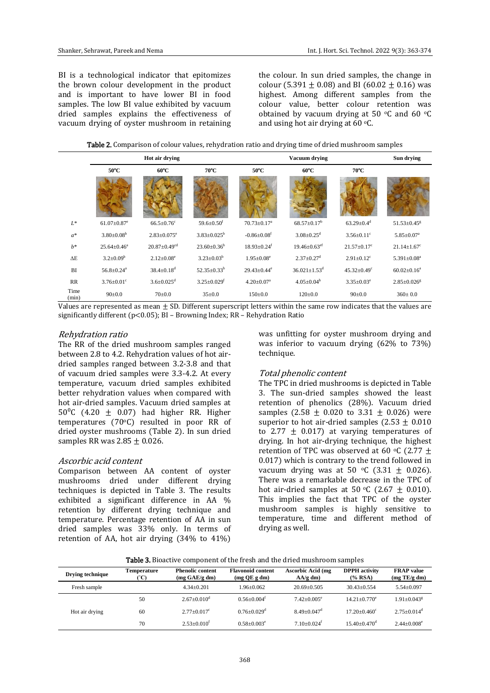BI is a technological indicator that epitomizes the brown colour development in the product and is important to have lower BI in food samples. The low BI value exhibited by vacuum dried samples explains the effectiveness of vacuum drying of oyster mushroom in retaining the colour. In sun dried samples, the change in colour (5.391  $\pm$  0.08) and BI (60.02  $\pm$  0.16) was highest. Among different samples from the colour value, better colour retention was obtained by vacuum drying at 50  $\,^{\circ}$ C and 60  $\,^{\circ}$ C and using hot air drying at  $60 °C$ .

Table 2. Comparison of colour values, rehydration ratio and drying time of dried mushroom samples

|               |                               | Hot air drying                 |                               |                               | Sun drying                     |                               |                               |
|---------------|-------------------------------|--------------------------------|-------------------------------|-------------------------------|--------------------------------|-------------------------------|-------------------------------|
|               | $50^{\circ}$ C                | $60^{\circ}$ C                 | $70^{\circ}$ C                | $50^{\circ}$ C                | $60^{\circ}$ C                 | $70^{\circ}$ C                |                               |
|               |                               |                                |                               |                               |                                |                               |                               |
| $L^*$         | $61.07 \pm 0.87$ <sup>e</sup> | $66.5 \pm 0.76$ <sup>c</sup>   | $59.6 \pm 0.50$ <sup>f</sup>  | $70.73 \pm 0.17^a$            | $68.57 \pm 0.17^b$             | $63.29 \pm 0.4$ <sup>d</sup>  | $51.53 \pm 0.45$ <sup>g</sup> |
| $a^*$         | $3.80 \pm 0.08^b$             | $2.83 \pm 0.075$ <sup>e</sup>  | $3.83 \pm 0.025^b$            | $-0.86 \pm 0.08$ <sup>f</sup> | $3.08 \pm 0.25$ <sup>d</sup>   | $3.56 \pm 0.11$ <sup>c</sup>  | $5.85 \pm 0.07^a$             |
| $b^*$         | $25.64 \pm 0.46^a$            | $20.87 \pm 0.49$ <sup>cd</sup> | $23.60 \pm 0.36^b$            | $18.93 \pm 0.24$ <sup>f</sup> | $19.46 \pm 0.63$ <sup>ef</sup> | $21.57 \pm 0.17$ <sup>c</sup> | $21.14 \pm 1.67$ <sup>c</sup> |
| $\Delta E$    | $3.2 \pm 0.09^b$              | $2.12 \pm 0.08^e$              | $3.23 \pm 0.03^b$             | $1.95 \pm 0.08^e$             | $2.37 \pm 0.27$ <sup>d</sup>   | $2.91 \pm 0.12$ <sup>c</sup>  | $5.391 \pm 0.08^a$            |
| BI            | $56.8 \pm 0.24$ <sup>a</sup>  | $38.4 \pm 0.18$ <sup>d</sup>   | $52.35 \pm 0.33^b$            | $29.43 \pm 0.44$ <sup>e</sup> | $36.021 \pm 1.53$ <sup>d</sup> | $45.32 \pm 0.49$ <sup>c</sup> | $60.02 \pm 0.16^a$            |
| RR            | $3.76 \pm 0.01$ <sup>c</sup>  | $3.6 \pm 0.025$ <sup>d</sup>   | $3.25 \pm 0.029$ <sup>f</sup> | $4.20 \pm 0.07$ <sup>a</sup>  | $4.05 \pm 0.04^b$              | $3.35 \pm 0.03^e$             | $2.85 \pm 0.026$ <sup>g</sup> |
| Time<br>(min) | $90 \pm 0.0$                  | $70 \pm 0.0$                   | $35 \pm 0.0$                  | $150 \pm 0.0$                 | $120 \pm 0.0$                  | $90 \pm 0.0$                  | $360 \pm 0.0$                 |

Values are represented as mean  $\pm$  SD. Different superscript letters within the same row indicates that the values are significantly different (p<0.05); BI – Browning Index; RR – Rehydration Ratio

#### Rehydration ratio

The RR of the dried mushroom samples ranged between 2.8 to 4.2. Rehydration values of hot airdried samples ranged between 3.2-3.8 and that of vacuum dried samples were 3.3-4.2. At every temperature, vacuum dried samples exhibited better rehydration values when compared with hot air-dried samples. Vacuum dried samples at 50 $^{\circ}$ C (4.20  $\pm$  0.07) had higher RR. Higher temperatures (70oC) resulted in poor RR of dried oyster mushrooms (Table 2). In sun dried samples RR was  $2.85 + 0.026$ .

#### Ascorbic acid content

Comparison between AA content of oyster mushrooms dried under different drying techniques is depicted in Table 3. The results exhibited a significant difference in AA % retention by different drying technique and temperature. Percentage retention of AA in sun dried samples was 33% only. In terms of retention of AA, hot air drying (34% to 41%)

was unfitting for oyster mushroom drying and was inferior to vacuum drying (62% to 73%) technique.

#### Total phenolic content

The TPC in dried mushrooms is depicted in Table 3. The sun-dried samples showed the least retention of phenolics (28%). Vacuum dried samples (2.58  $\pm$  0.020 to 3.31  $\pm$  0.026) were superior to hot air-dried samples  $(2.53 + 0.010)$ to 2.77  $\pm$  0.017) at varying temperatures of drying. In hot air-drying technique, the highest retention of TPC was observed at 60  $\degree$ C (2.77 + 0.017) which is contrary to the trend followed in vacuum drying was at 50  $\degree$ C (3.31  $\pm$  0.026). There was a remarkable decrease in the TPC of hot air-dried samples at 50 °C (2.67  $\pm$  0.010). This implies the fact that TPC of the oyster mushroom samples is highly sensitive to temperature, time and different method of drying as well.

|  |  |  | <b>Table 3.</b> Bioactive component of the fresh and the dried mushroom samples |
|--|--|--|---------------------------------------------------------------------------------|
|--|--|--|---------------------------------------------------------------------------------|

| Drying technique | Temperature<br>(°C) | <b>Phenolic content</b><br>$(mg \text{ GAE}/g \text{ dm})$ | <b>Flavonoid content</b><br>$(mg$ QE g dm) | <b>Ascorbic Acid (mg</b><br>$AA/g$ dm) | <b>DPPH</b> activity<br>$(*$ <sub>6</sub> RSA) | <b>FRAP</b> value<br>(mg TE/g dm) |
|------------------|---------------------|------------------------------------------------------------|--------------------------------------------|----------------------------------------|------------------------------------------------|-----------------------------------|
| Fresh sample     |                     | $4.34+0.201$                                               | $1.96 + 0.062$                             | $20.69 + 0.505$                        | $30.43 + 0.554$                                | $5.54 \pm 0.097$                  |
|                  | 50                  | $2.67+0.010^{\circ}$                                       | $0.56 + 0.004^t$                           | $7.42+0.005^e$                         | $14.21 + 0.770^e$                              | $1.91 + 0.043$ <sup>g</sup>       |
| Hot air drying   | 60                  | $2.77+0.017^c$                                             | $0.76 + 0.029$ <sup>d</sup>                | $8.49 + 0.047$ <sup>d</sup>            | $17.20 + 0.460^{\circ}$                        | $2.75 + 0.014$ <sup>d</sup>       |
|                  | 70                  | $2.53+0.010^{f}$                                           | $0.58 + 0.003^e$                           | $7.10+0.024$ <sup>f</sup>              | $15.40 + 0.470$ <sup>d</sup>                   | $2.44+0.008^e$                    |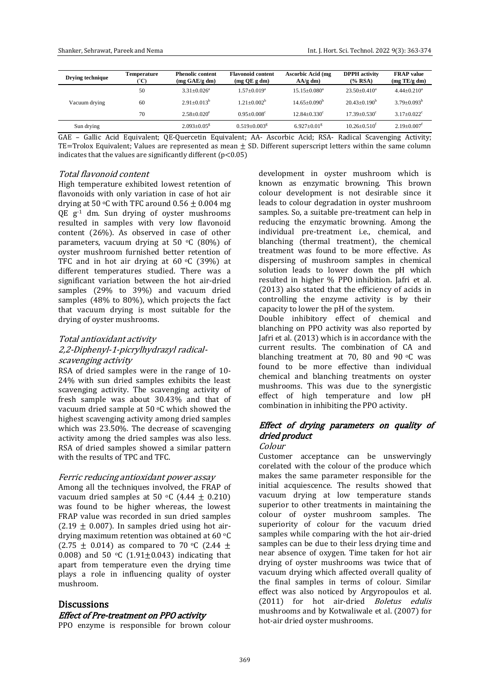| Drying technique | Temperature<br>°°C) | <b>Phenolic content</b><br>$(mg \text{ GAE/g dm})$ | <b>Flavonoid content</b><br>$(mg$ QE g dm) | <b>Ascorbic Acid (mg</b><br>$AA/g$ dm) | <b>DPPH</b> activity<br>$(%$ RSA) | <b>FRAP</b> value<br>(mg TE/g dm) |
|------------------|---------------------|----------------------------------------------------|--------------------------------------------|----------------------------------------|-----------------------------------|-----------------------------------|
|                  | 50                  | $3.31 + 0.026^a$                                   | $1.57+0.019^a$                             | $15.15 + 0.080^a$                      | $23.50+0.410^a$                   | $4.44+0.210^a$                    |
| Vacuum drying    | 60                  | $2.91 + 0.013^b$                                   | $1.21 + 0.002^b$                           | $14.65 + 0.090^b$                      | $20.43+0.190^b$                   | $3.79 + 0.093^b$                  |
|                  | 70                  | $2.58 + 0.020^e$                                   | $0.95 + 0.008^c$                           | $12.84 + 0.330^{\circ}$                | $17.39 + 0.530^{\circ}$           | $3.17 + 0.022$ <sup>c</sup>       |
| Sun drying       |                     | $2.093 + 0.05$ <sup>g</sup>                        | $0.519 + 0.003$ <sup>g</sup>               | $6.927+0.01g$                          | $10.26 + 0.510^t$                 | $2.19+0.007$ <sup>f</sup>         |

GAE – Gallic Acid Equivalent; QE-Quercetin Equivalent; AA- Ascorbic Acid; RSA- Radical Scavenging Activity; TE=Trolox Equivalent; Values are represented as mean  $\pm$  SD. Different superscript letters within the same column indicates that the values are significantly different  $(p<0.05)$ 

#### Total flavonoid content

High temperature exhibited lowest retention of flavonoids with only variation in case of hot air drying at 50 °C with TFC around  $0.56 \pm 0.004$  mg QE g -1 dm. Sun drying of oyster mushrooms resulted in samples with very low flavonoid content (26%). As observed in case of other parameters, vacuum drying at 50  $\degree$ C (80%) of oyster mushroom furnished better retention of TFC and in hot air drying at  $60 \degree C$  (39%) at different temperatures studied. There was a significant variation between the hot air-dried samples (29% to 39%) and vacuum dried samples (48% to 80%), which projects the fact that vacuum drying is most suitable for the drying of oyster mushrooms.

#### Total antioxidant activity

#### 2,2-Diphenyl-1-picrylhydrazyl radicalscavenging activity

RSA of dried samples were in the range of 10- 24% with sun dried samples exhibits the least scavenging activity. The scavenging activity of fresh sample was about 30.43% and that of vacuum dried sample at 50  $\degree$ C which showed the highest scavenging activity among dried samples which was 23.50%. The decrease of scavenging activity among the dried samples was also less. RSA of dried samples showed a similar pattern with the results of TPC and TFC.

#### Ferric reducing antioxidant power assay

Among all the techniques involved, the FRAP of vacuum dried samples at 50 °C (4.44  $\pm$  0.210) was found to be higher whereas, the lowest FRAP value was recorded in sun dried samples (2.19  $\pm$  0.007). In samples dried using hot airdrying maximum retention was obtained at 60 <sup>o</sup>C  $(2.75 + 0.014)$  as compared to 70 °C (2.44 + 0.008) and 50  $\circ$ C (1.91 $\pm$ 0.043) indicating that apart from temperature even the drying time plays a role in influencing quality of oyster mushroom.

#### **Discussions**

#### Effect of Pre-treatment on PPO activity

PPO enzyme is responsible for brown colour

development in oyster mushroom which is known as enzymatic browning. This brown colour development is not desirable since it leads to colour degradation in oyster mushroom samples. So, a suitable pre-treatment can help in reducing the enzymatic browning. Among the individual pre-treatment i.e., chemical, and blanching (thermal treatment), the chemical treatment was found to be more effective. As dispersing of mushroom samples in chemical solution leads to lower down the pH which resulted in higher % PPO inhibition. Jafri et al. (2013) also stated that the efficiency of acids in controlling the enzyme activity is by their capacity to lower the pH of the system. Double inhibitory effect of chemical and

blanching on PPO activity was also reported by Jafri et al. (2013) which is in accordance with the current results. The combination of CA and blanching treatment at 70, 80 and 90 $\degree$ C was found to be more effective than individual chemical and blanching treatments on oyster mushrooms. This was due to the synergistic effect of high temperature and low pH combination in inhibiting the PPO activity.

# Effect of drying parameters on quality of dried product

#### Colour

Customer acceptance can be unswervingly corelated with the colour of the produce which makes the same parameter responsible for the initial acquiescence. The results showed that vacuum drying at low temperature stands superior to other treatments in maintaining the colour of oyster mushroom samples. The superiority of colour for the vacuum dried samples while comparing with the hot air-dried samples can be due to their less drying time and near absence of oxygen. Time taken for hot air drying of oyster mushrooms was twice that of vacuum drying which affected overall quality of the final samples in terms of colour. Similar effect was also noticed by Argyropoulos et al. (2011) for hot air-dried Boletus edulis mushrooms and by Kotwaliwale et al. (2007) for hot-air dried oyster mushrooms.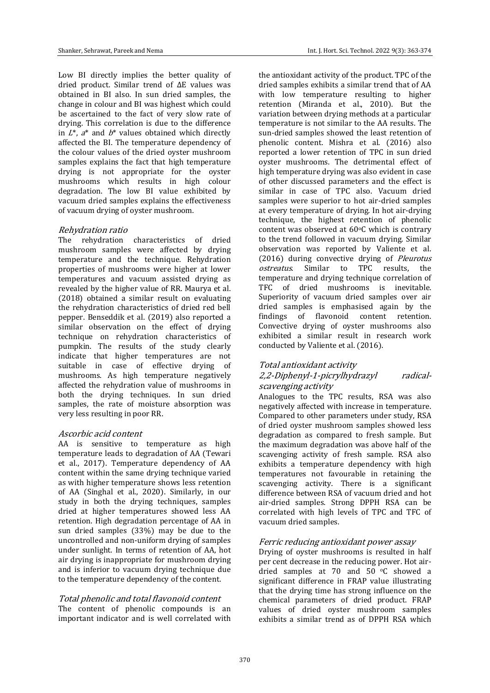Low BI directly implies the better quality of dried product. Similar trend of ΔE values was obtained in BI also. In sun dried samples, the change in colour and BI was highest which could be ascertained to the fact of very slow rate of drying. This correlation is due to the difference in  $L^*$ ,  $a^*$  and  $b^*$  values obtained which directly affected the BI. The temperature dependency of the colour values of the dried oyster mushroom samples explains the fact that high temperature drying is not appropriate for the oyster mushrooms which results in high colour degradation. The low BI value exhibited by vacuum dried samples explains the effectiveness of vacuum drying of oyster mushroom.

#### Rehydration ratio

The rehydration characteristics of dried mushroom samples were affected by drying temperature and the technique. Rehydration properties of mushrooms were higher at lower temperatures and vacuum assisted drying as revealed by the higher value of RR. Maurya et al. (2018) obtained a similar result on evaluating the rehydration characteristics of dried red bell pepper. Benseddik et al. (2019) also reported a similar observation on the effect of drying technique on rehydration characteristics of pumpkin. The results of the study clearly indicate that higher temperatures are not suitable in case of effective drying of mushrooms. As high temperature negatively affected the rehydration value of mushrooms in both the drying techniques. In sun dried samples, the rate of moisture absorption was very less resulting in poor RR.

#### Ascorbic acid content

AA is sensitive to temperature as high temperature leads to degradation of AA (Tewari et al., 2017). Temperature dependency of AA content within the same drying technique varied as with higher temperature shows less retention of AA (Singhal et al., 2020). Similarly, in our study in both the drying techniques, samples dried at higher temperatures showed less AA retention. High degradation percentage of AA in sun dried samples (33%) may be due to the uncontrolled and non-uniform drying of samples under sunlight. In terms of retention of AA, hot air drying is inappropriate for mushroom drying and is inferior to vacuum drying technique due to the temperature dependency of the content.

# Total phenolic and total flavonoid content

The content of phenolic compounds is an important indicator and is well correlated with the antioxidant activity of the product. TPC of the dried samples exhibits a similar trend that of AA with low temperature resulting to higher retention (Miranda et al., 2010). But the variation between drying methods at a particular temperature is not similar to the AA results. The sun-dried samples showed the least retention of phenolic content. Mishra et al. (2016) also reported a lower retention of TPC in sun dried oyster mushrooms. The detrimental effect of high temperature drying was also evident in case of other discussed parameters and the effect is similar in case of TPC also. Vacuum dried samples were superior to hot air-dried samples at every temperature of drying. In hot air-drying technique, the highest retention of phenolic content was observed at  $60^{\circ}$ C which is contrary to the trend followed in vacuum drying. Similar observation was reported by Valiente et al. (2016) during convective drying of Pleurotus ostreatus. Similar to TPC results, the temperature and drying technique correlation of TFC of dried mushrooms is inevitable. Superiority of vacuum dried samples over air dried samples is emphasised again by the findings of flavonoid content retention. Convective drying of oyster mushrooms also exhibited a similar result in research work conducted by Valiente et al. (2016).

# Total antioxidant activity

## 2,2-Diphenyl-1-picrylhydrazyl radicalscavenging activity

Analogues to the TPC results, RSA was also negatively affected with increase in temperature. Compared to other parameters under study, RSA of dried oyster mushroom samples showed less degradation as compared to fresh sample. But the maximum degradation was above half of the scavenging activity of fresh sample. RSA also exhibits a temperature dependency with high temperatures not favourable in retaining the scavenging activity. There is a significant difference between RSA of vacuum dried and hot air-dried samples. Strong DPPH RSA can be correlated with high levels of TPC and TFC of vacuum dried samples.

#### Ferric reducing antioxidant power assay

Drying of oyster mushrooms is resulted in half per cent decrease in the reducing power. Hot airdried samples at 70 and 50 $\degree$ C showed a significant difference in FRAP value illustrating that the drying time has strong influence on the chemical parameters of dried product. FRAP values of dried oyster mushroom samples exhibits a similar trend as of DPPH RSA which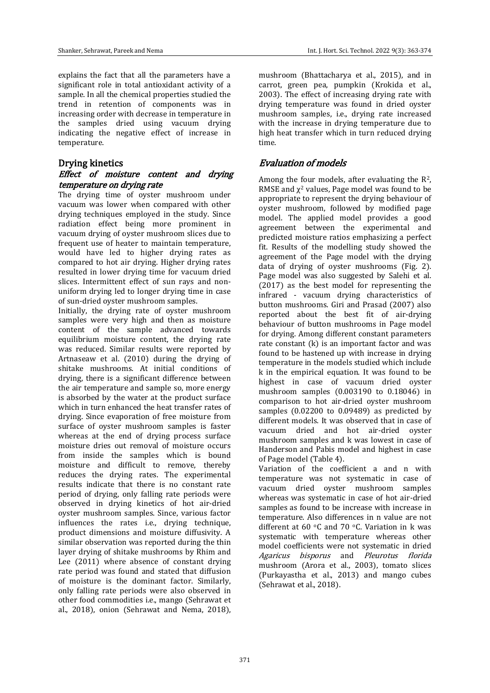explains the fact that all the parameters have a significant role in total antioxidant activity of a sample. In all the chemical properties studied the trend in retention of components was in increasing order with decrease in temperature in the samples dried using vacuum drying indicating the negative effect of increase in temperature.

# Drying kinetics

# Effect of moisture content and drying temperature on drying rate

The drying time of oyster mushroom under vacuum was lower when compared with other drying techniques employed in the study. Since radiation effect being more prominent in vacuum drying of oyster mushroom slices due to frequent use of heater to maintain temperature, would have led to higher drying rates as compared to hot air drying. Higher drying rates resulted in lower drying time for vacuum dried slices. Intermittent effect of sun rays and nonuniform drying led to longer drying time in case of sun-dried oyster mushroom samples.

Initially, the drying rate of oyster mushroom samples were very high and then as moisture content of the sample advanced towards equilibrium moisture content, the drying rate was reduced. Similar results were reported by Artnaseaw et al. (2010) during the drying of shitake mushrooms. At initial conditions of drying, there is a significant difference between the air temperature and sample so, more energy is absorbed by the water at the product surface which in turn enhanced the heat transfer rates of drying. Since evaporation of free moisture from surface of oyster mushroom samples is faster whereas at the end of drying process surface moisture dries out removal of moisture occurs from inside the samples which is bound moisture and difficult to remove, thereby reduces the drying rates. The experimental results indicate that there is no constant rate period of drying, only falling rate periods were observed in drying kinetics of hot air-dried oyster mushroom samples. Since, various factor influences the rates i.e., drying technique, product dimensions and moisture diffusivity. A similar observation was reported during the thin layer drying of shitake mushrooms by Rhim and Lee (2011) where absence of constant drying rate period was found and stated that diffusion of moisture is the dominant factor. Similarly, only falling rate periods were also observed in other food commodities i.e., mango (Sehrawat et al., 2018), onion (Sehrawat and Nema, 2018),

mushroom (Bhattacharya et al., 2015), and in carrot, green pea, pumpkin (Krokida et al., 2003). The effect of increasing drying rate with drying temperature was found in dried oyster mushroom samples, i.e., drying rate increased with the increase in drying temperature due to high heat transfer which in turn reduced drying time.

# Evaluation of models

Among the four models, after evaluating the R2, RMSE and  $\chi^2$  values, Page model was found to be appropriate to represent the drying behaviour of oyster mushroom, followed by modified page model. The applied model provides a good agreement between the experimental and predicted moisture ratios emphasizing a perfect fit. Results of the modelling study showed the agreement of the Page model with the drying data of drying of oyster mushrooms (Fig. 2). Page model was also suggested by Salehi et al. (2017) as the best model for representing the infrared - vacuum drying characteristics of button mushrooms. Giri and Prasad (2007) also reported about the best fit of air-drying behaviour of button mushrooms in Page model for drying. Among different constant parameters rate constant (k) is an important factor and was found to be hastened up with increase in drying temperature in the models studied which include k in the empirical equation. It was found to be highest in case of vacuum dried oyster mushroom samples (0.003190 to 0.18046) in comparison to hot air-dried oyster mushroom samples (0.02200 to 0.09489) as predicted by different models. It was observed that in case of vacuum dried and hot air-dried oyster mushroom samples and k was lowest in case of Handerson and Pabis model and highest in case of Page model (Table 4).

Variation of the coefficient a and n with temperature was not systematic in case of vacuum dried oyster mushroom samples whereas was systematic in case of hot air-dried samples as found to be increase with increase in temperature. Also differences in n value are not different at 60 $\degree$ C and 70 $\degree$ C. Variation in k was systematic with temperature whereas other model coefficients were not systematic in dried Agaricus bisporus and Pleurotus florida mushroom (Arora et al., 2003), tomato slices (Purkayastha et al., 2013) and mango cubes (Sehrawat et al., 2018).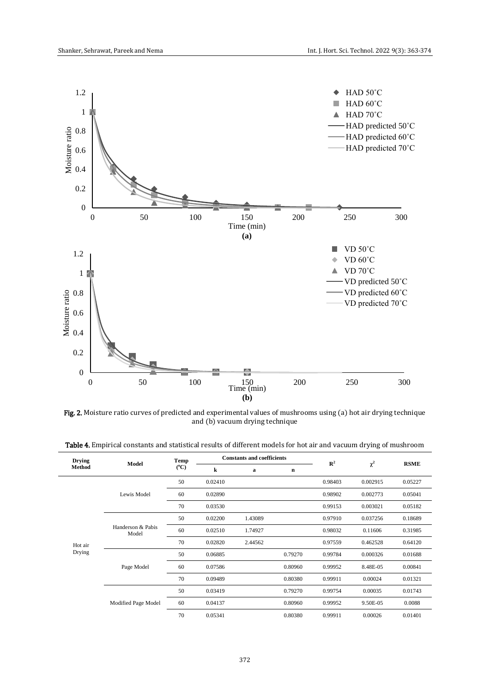

Fig. 2. Moisture ratio curves of predicted and experimental values of mushrooms using (a) hot air drying technique and (b) vacuum drying technique

| <b>Drying</b><br><b>Method</b> | Model                      | <b>Temp</b>   | <b>Constants and coefficients</b> |         |   | $\mathbb{R}^2$ |          | <b>RSME</b> |
|--------------------------------|----------------------------|---------------|-----------------------------------|---------|---|----------------|----------|-------------|
|                                |                            | $(^{\circ}C)$ | k                                 | a       | n |                |          |             |
|                                |                            | 50            | 0.02410                           |         |   | 0.98403        | 0.002915 | 0.05227     |
|                                | Lewis Model                | 60            | 0.02890                           |         |   | 0.98902        | 0.002773 | 0.05041     |
|                                |                            | 70            | 0.03530                           |         |   | 0.99153        | 0.003021 | 0.05182     |
|                                |                            | 50            | 0.02200                           | 1.43089 |   | 0.97910        | 0.037256 | 0.18689     |
|                                | Handerson & Pabis<br>Model | 60            | 0.02510                           | 1.74927 |   | 0.98032        | 0.11606  | 0.31985     |
|                                |                            |               |                                   |         |   |                |          |             |

| <b>Table 4.</b> Empirical constants and statistical results of different models for hot air and vacuum drying of mushroom |  |  |
|---------------------------------------------------------------------------------------------------------------------------|--|--|
|---------------------------------------------------------------------------------------------------------------------------|--|--|

Hot air Drying

|            | 70 | 0.02820 | 2.44562 |         | 0.97559 | 0.462528 | 0.64120 |
|------------|----|---------|---------|---------|---------|----------|---------|
|            | 50 | 0.06885 |         | 0.79270 | 0.99784 | 0.000326 | 0.01688 |
| Page Model | 60 | 0.07586 |         | 0.80960 | 0.99952 | 8.48E-05 | 0.00841 |
|            | 70 | 0.09489 |         | 0.80380 | 0.99911 | 0.00024  | 0.01321 |

Modified Page Model 60 0.04137 0.80960 0.99952 9.50E-05 0.0088 70 0.05341 0.80380 0.99911 0.00026 0.01401

50 0.03419 0.79270 0.99754 0.00035 0.01743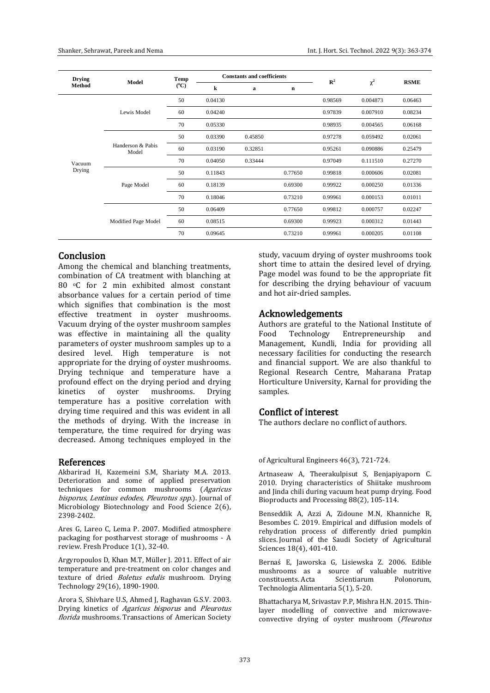| <b>Drying</b> | Model                      | Temp          | <b>Constants and coefficients</b> |         |         | $\mathbb{R}^2$ | $\chi^2$ | <b>RSME</b> |
|---------------|----------------------------|---------------|-----------------------------------|---------|---------|----------------|----------|-------------|
| Method        |                            | $(^{\circ}C)$ | k                                 | a       | n       |                |          |             |
|               |                            | 50            | 0.04130                           |         |         | 0.98569        | 0.004873 | 0.06463     |
|               | Lewis Model                | 60            | 0.04240                           |         |         | 0.97839        | 0.007910 | 0.08234     |
|               |                            | 70            | 0.05330                           |         |         | 0.98935        | 0.004565 | 0.06168     |
|               | Handerson & Pabis<br>Model | 50            | 0.03390                           | 0.45850 |         | 0.97278        | 0.059492 | 0.02061     |
|               |                            | 60            | 0.03190                           | 0.32851 |         | 0.95261        | 0.090886 | 0.25479     |
| Vacuum        |                            | 70            | 0.04050                           | 0.33444 |         | 0.97049        | 0.111510 | 0.27270     |
| Drying        |                            | 50            | 0.11843                           |         | 0.77650 | 0.99818        | 0.000606 | 0.02081     |
|               | Page Model                 | 60            | 0.18139                           |         | 0.69300 | 0.99922        | 0.000250 | 0.01336     |
|               |                            | 70            | 0.18046                           |         | 0.73210 | 0.99961        | 0.000153 | 0.01011     |
|               |                            | 50            | 0.06409                           |         | 0.77650 | 0.99812        | 0.000757 | 0.02247     |
|               | Modified Page Model        | 60            | 0.08515                           |         | 0.69300 | 0.99923        | 0.000312 | 0.01443     |
|               |                            | 70            | 0.09645                           |         | 0.73210 | 0.99961        | 0.000205 | 0.01108     |

### **Conclusion**

Among the chemical and blanching treatments, combination of CA treatment with blanching at 80 °C for 2 min exhibited almost constant absorbance values for a certain period of time which signifies that combination is the most effective treatment in oyster mushrooms. Vacuum drying of the oyster mushroom samples was effective in maintaining all the quality parameters of oyster mushroom samples up to a desired level. High temperature is not appropriate for the drying of oyster mushrooms. Drying technique and temperature have a profound effect on the drying period and drying kinetics of oyster mushrooms. Drying temperature has a positive correlation with drying time required and this was evident in all the methods of drying. With the increase in temperature, the time required for drying was decreased. Among techniques employed in the

#### References

Akbarirad H, Kazemeini S.M, Shariaty M.A. 2013. Deterioration and some of applied preservation techniques for common mushrooms (Agaricus bisporus, Lentinus edodes, Pleurotus spp.). Journal of Microbiology Biotechnology and Food Science 2(6), 2398-2402.

Ares G, Lareo C, Lema P. 2007. Modified atmosphere packaging for postharvest storage of mushrooms - A review. Fresh Produce 1(1), 32-40.

Argyropoulos D, Khan M.T, Müller J. 2011. Effect of air temperature and pre-treatment on color changes and texture of dried *Boletus edulis* mushroom. Drying Technology 29(16), 1890-1900.

Arora S, Shivhare U.S, Ahmed J, Raghavan G.S.V. 2003. Drying kinetics of Agaricus bisporus and Pleurotus florida mushrooms. Transactions of American Society

study, vacuum drying of oyster mushrooms took short time to attain the desired level of drying. Page model was found to be the appropriate fit for describing the drying behaviour of vacuum and hot air-dried samples.

# Acknowledgements

Authors are grateful to the National Institute of<br>Food Technology Entrepreneurship and Food Technology Entrepreneurship and Management, Kundli, India for providing all necessary facilities for conducting the research and financial support. We are also thankful to Regional Research Centre, Maharana Pratap Horticulture University, Karnal for providing the samples.

# Conflict of interest

The authors declare no conflict of authors.

#### of Agricultural Engineers 46(3), 721-724.

Artnaseaw A, Theerakulpisut S, Benjapiyaporn C. 2010. Drying characteristics of Shiitake mushroom and Jinda chili during vacuum heat pump drying. Food Bioproducts and Processing 88(2), 105-114.

Benseddik A, Azzi A, Zidoune M.N, Khanniche R, Besombes C. 2019. Empirical and diffusion models of rehydration process of differently dried pumpkin slices. Journal of the Saudi Society of Agricultural Sciences 18(4), 401-410.

Bernaś E, Jaworska G, Lisiewska Z. 2006. Edible mushrooms as a source of valuable nutritive constituents. Acta Scientiarum Polonorum, Technologia Alimentaria 5(1), 5-20.

Bhattacharya M, Srivastav P.P, Mishra H.N. 2015. Thinlayer modelling of convective and microwaveconvective drying of oyster mushroom (Pleurotus